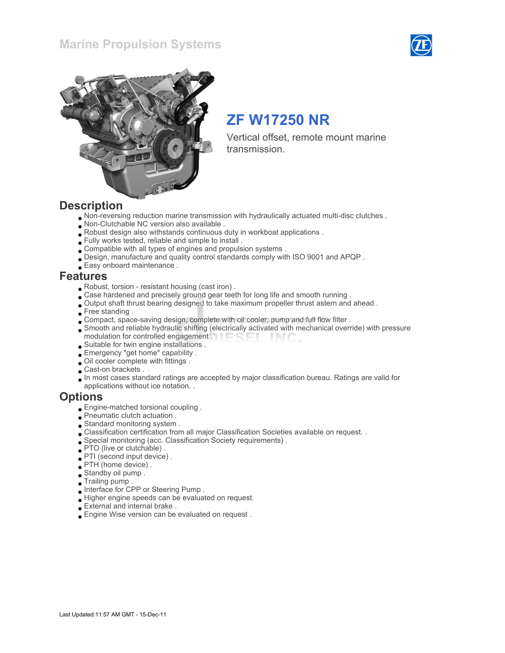### Marine Propulsion Systems





# ZF W17250 NR

Vertical offset, remote mount marine transmission.

### **Description**

- Non-reversing reduction marine transmission with hydraulically actuated multi-disc clutches .
- Non-Clutchable NC version also available .
- Robust design also withstands continuous duty in workboat applications .
- Fully works tested, reliable and simple to install .
- Compatible with all types of engines and propulsion systems .
- Design, manufacture and quality control standards comply with ISO 9001 and APQP .
- Easy onboard maintenance .

### Features

- Robust, torsion resistant housing (cast iron) .
- Case hardened and precisely ground gear teeth for long life and smooth running .
- Output shaft thrust bearing designed to take maximum propeller thrust astern and ahead .
- Free standing.
- Compact, space-saving design, complete with oil cooler, pump and full flow filter .
- Smooth and reliable hydraulic shifting (electrically activated with mechanical override) with pressure modulation for controlled engagement **THE COLL** -INC
- Suitable for twin engine installations .
- Emergency "get home" capability .
- Oil cooler complete with fittings .
- Cast-on brackets .
- In most cases standard ratings are accepted by major classification bureau. Ratings are valid for applications without ice notation. .

### **Options**

- Engine-matched torsional coupling .
- Pneumatic clutch actuation .
- Standard monitoring system .
- Classification certification from all major Classification Societies available on request. .
- Special monitoring (acc. Classification Society requirements) .
- PTO (live or clutchable) .
- PTI (second input device) .
- PTH (home device) .
- Standby oil pump .
- Trailing pump .
- Interface for CPP or Steering Pump .
- Higher engine speeds can be evaluated on request.
- External and internal brake .
- Engine Wise version can be evaluated on request .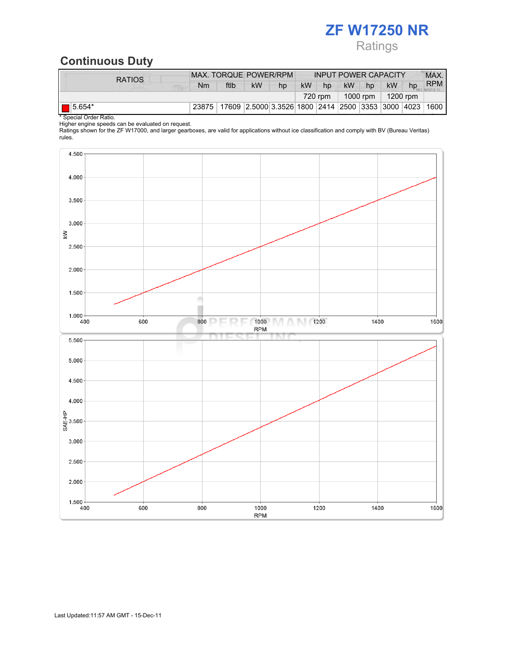## ZF W17250 NR **Ratings**

## Continuous Duty

| RATIOS                | MAX. TORQUE POWER/RPM |                                                                                |    | <b>INPUT POWER CAPACITY</b> |           |    |           |                      | MAX.     |    |            |
|-----------------------|-----------------------|--------------------------------------------------------------------------------|----|-----------------------------|-----------|----|-----------|----------------------|----------|----|------------|
|                       | Nm                    | ftlb                                                                           | kW | hp                          | <b>kW</b> | hp | <b>kW</b> | hp                   | kW       | hp | <b>RPM</b> |
|                       |                       |                                                                                |    |                             |           |    |           | 1000 rpm $\parallel$ | 1200 rpm |    |            |
| $\blacksquare$ 5.654* |                       | 23875   17609   2.5000 3.3526   1800   2414   2500   3353   3000   4023   1600 |    |                             |           |    |           |                      |          |    |            |

\* Special Order Ratio.

Higher engine speeds can be evaluated on request.

Ratings shown for the ZF W17000, and larger gearboxes, are valid for applications without ice classification and comply with BV (Bureau Veritas) rules.

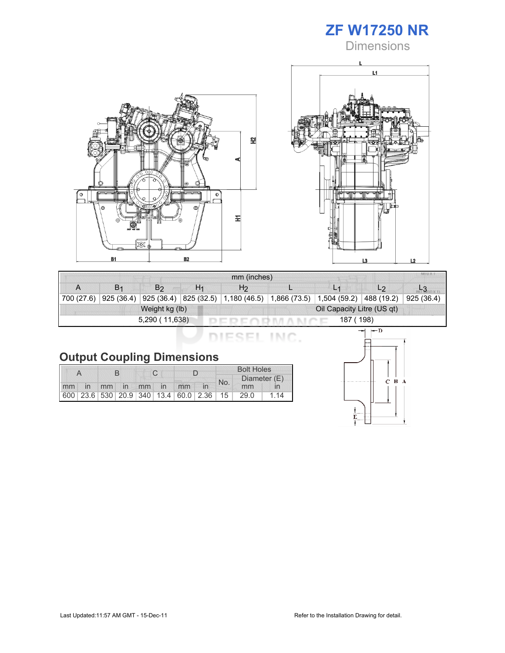





| <b>MILLY</b><br>mm (inches) |                |                |    |                                                  |  |                |                |            |  |
|-----------------------------|----------------|----------------|----|--------------------------------------------------|--|----------------|----------------|------------|--|
|                             | B <sub>1</sub> | B <sub>2</sub> | H1 | H <sub>2</sub>                                   |  | L <sub>1</sub> | L <sub>2</sub> |            |  |
| 700 (27.6)                  | 925 (36.4)     |                |    | $925(36.4)$ 825 (32.5) 1,180 (46.5) 1,866 (73.5) |  | 1,504(59.2)    | 488 (19.2)     | 925 (36.4) |  |
|                             |                | Weight kg (lb) |    | Oil Capacity Litre (US qt)                       |  |                |                |            |  |
| 5,290 (11,638)<br>187 (198) |                |                |    |                                                  |  |                |                |            |  |

DIESEL INC.

| <b>Output Coupling Dimensions</b> |  |  |  |
|-----------------------------------|--|--|--|
|-----------------------------------|--|--|--|

|       |  |  |  |  |             | <b>Bolt Holes</b>                       |     |              |      |    |
|-------|--|--|--|--|-------------|-----------------------------------------|-----|--------------|------|----|
|       |  |  |  |  |             |                                         | No. | Diameter (E) |      |    |
| mm in |  |  |  |  | mm in mm in | mm                                      |     |              | mm   |    |
|       |  |  |  |  |             | 600 23.6 530 20.9 340 13.4 60.0 2.36 15 |     |              | 29.0 | 14 |

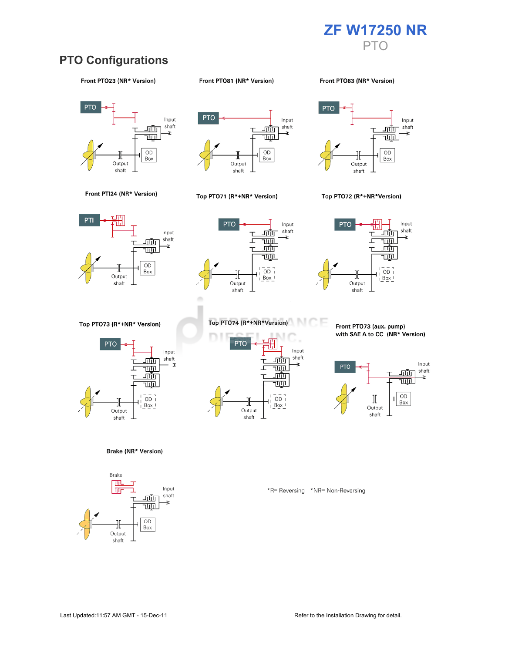

## **PTO Configurations**

#### Front PTO23 (NR\* Version)

#### Front PTO81 (NR\* Version)

Front PTO83 (NR\* Version)







#### Top PTO71 (R\*+NR\* Version)



#### Top PTO72 (R\*+NR\*Version)







Top PTO73 (R\*+NR\* Version)



Brake (NR\* Version)



Top PT074 (R\*+NR\*Version) **PTO** Input



Front PTO73 (aux. pump) with SAE A to CC (NR\* Version)



\*R= Reversing \*NR= Non-Reversing

Front PTI24 (NR\* Version)